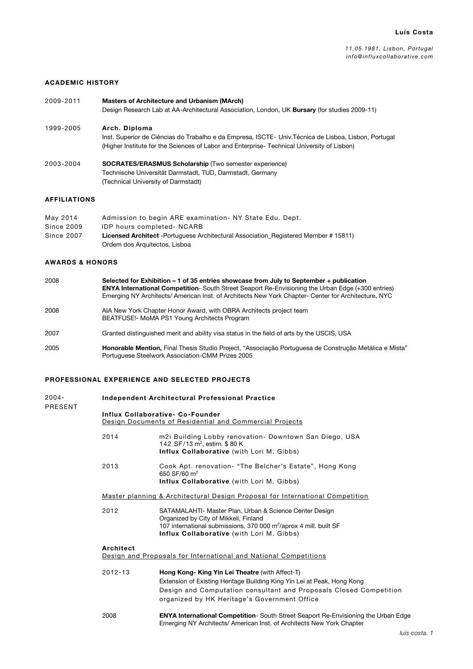## ACADEMIC HISTORY

2009-2011 Masters of Architecture and Urbanism (MArch) Design Research Lab at AA-Architectural Association, London, UK Bursary (for studies 2009-11) 1999-2005 Arch. Diploma Inst. Superior de Ciências do Trabalho e da Empresa, ISCTE- Univ.Técnica de Lisboa, Lisbon, Portugal

(Higher Institute for the Sciences of Labor and Enterprise- Technical University of Lisbon)

2003-2004 SOCRATES/ERASMUS Scholarship (Two semester experience) Technische Universität Darmstadt, TUD, Darmstadt, Germany (Technical University of Darmstadt)

# AFFILIATIONS

| Admission to begin ARE examination - NY State Edu. Dept.                                                                     |
|------------------------------------------------------------------------------------------------------------------------------|
| <b>IDP</b> hours completed- NCARB                                                                                            |
| <b>Licensed Architect</b> - Portuguese Architectural Association Registered Member # 15811)<br>Ordem dos Arquitectos, Lisboa |
|                                                                                                                              |

### AWARDS & HONORS

| 2008 | Selected for Exhibition – 1 of 35 entries showcase from July to September + publication<br><b>ENYA International Competition-</b> South Street Seaport Re-Envisioning the Urban Edge (+300 entries)<br>Emerging NY Architects/ American Inst. of Architects New York Chapter- Center for Architecture, NYC |
|------|------------------------------------------------------------------------------------------------------------------------------------------------------------------------------------------------------------------------------------------------------------------------------------------------------------|
| 2008 | AIA New York Chapter Honor Award, with OBRA Architects project team<br>BEATFUSE! MoMA PS1 Young Architects Program                                                                                                                                                                                         |
| 2007 | Granted distinguished merit and ability visa status in the field of arts by the USCIS, USA                                                                                                                                                                                                                 |
| 2005 | Honorable Mention, Final Thesis Studio Project, "Associação Portuguesa de Construção Metálica e Mista"<br>Portuguese Steelwork Association-CMM Prizes 2005                                                                                                                                                 |

## PROFESSIONAL EXPERIENCE AND SELECTED PROJECTS

| 2004-<br>PRESENT |             | Independent Architectural Professional Practice                                                                                                                                                                                                  |  |  |  |
|------------------|-------------|--------------------------------------------------------------------------------------------------------------------------------------------------------------------------------------------------------------------------------------------------|--|--|--|
|                  |             | <b>Influx Collaborative- Co-Founder</b><br>Design Documents of Residential and Commercial Projects                                                                                                                                               |  |  |  |
|                  | 2014        | m2i Building Lobby renovation- Downtown San Diego, USA<br>142 SF/13 m <sup>2</sup> , estim. \$80 K<br><b>Influx Collaborative</b> (with Lori M. Gibbs)                                                                                           |  |  |  |
|                  | 2013        | Cook Apt. renovation- "The Belcher's Estate", Hong Kong<br>650 SF/60 m <sup>2</sup><br>Influx Collaborative (with Lori M. Gibbs)                                                                                                                 |  |  |  |
|                  |             | Master planning & Architectural Design Proposal for International Competition                                                                                                                                                                    |  |  |  |
|                  | 2012        | SATAMALAHTI- Master Plan, Urban & Science Center Design<br>Organized by City of Mikkeli, Finland<br>107 international submissions, 370 000 m <sup>2</sup> /aprox 4 mill. built SF<br>Influx Collaborative (with Lori M. Gibbs)                   |  |  |  |
|                  | Architect   | Design and Proposals for International and National Competitions                                                                                                                                                                                 |  |  |  |
|                  | $2012 - 13$ | Hong Kong- King Yin Lei Theatre (with Affect-T)<br>Extension of Existing Heritage Building King Yin Lei at Peak, Hong Kong<br>Design and Computation consultant and Proposals Closed Competition<br>organized by HK Heritage's Government Office |  |  |  |
|                  | 2008        | <b>ENYA International Competition-</b> South Street Seaport Re-Envisioning the Urban Edge<br>Emerging NY Architects/ American Inst. of Architects New York Chapter                                                                               |  |  |  |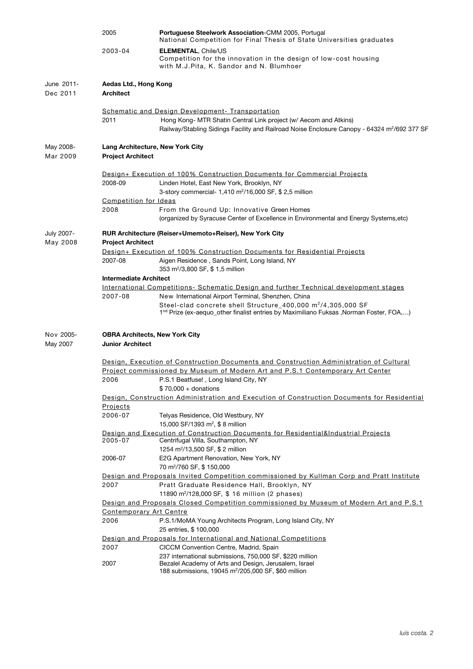|                        | 2005<br>2003-04                           | Portuguese Steelwork Association-CMM 2005, Portugal<br>National Competition for Final Thesis of State Universities graduates                                                                                                          |
|------------------------|-------------------------------------------|---------------------------------------------------------------------------------------------------------------------------------------------------------------------------------------------------------------------------------------|
|                        |                                           | <b>ELEMENTAL, Chile/US</b><br>Competition for the innovation in the design of low-cost housing<br>with M.J.Pita, K. Sandor and N. Blumhoer                                                                                            |
| June 2011-<br>Dec 2011 | Aedas Ltd., Hong Kong<br><b>Architect</b> |                                                                                                                                                                                                                                       |
|                        |                                           | Schematic and Design Development - Transportation                                                                                                                                                                                     |
|                        | 2011                                      | Hong Kong- MTR Shatin Central Link project (w/ Aecom and Atkins)<br>Railway/Stabling Sidings Facility and Railroad Noise Enclosure Canopy - 64324 m <sup>2</sup> /692 377 SF                                                          |
| May 2008-<br>Mar 2009  | <b>Project Architect</b>                  | Lang Architecture, New York City                                                                                                                                                                                                      |
|                        |                                           | Design+ Execution of 100% Construction Documents for Commercial Projects                                                                                                                                                              |
|                        | 2008-09                                   | Linden Hotel, East New York, Brooklyn, NY<br>3-story commercial- 1,410 m <sup>2</sup> /16,000 SF, \$ 2,5 million                                                                                                                      |
|                        | Competition for Ideas                     |                                                                                                                                                                                                                                       |
|                        | 2008                                      | From the Ground Up: Innovative Green Homes<br>(organized by Syracuse Center of Excellence in Environmental and Energy Systems, etc)                                                                                                   |
| July 2007-<br>May 2008 | <b>Project Architect</b>                  | RUR Architecture (Reiser+Umemoto+Reiser), New York City                                                                                                                                                                               |
|                        |                                           | <u><b>Design+ Execution of 100% Construction Documents for Residential Projects</b></u>                                                                                                                                               |
|                        | 2007-08                                   | Aigen Residence, Sands Point, Long Island, NY<br>353 m <sup>2</sup> /3,800 SF, \$1,5 million                                                                                                                                          |
|                        | <b>Intermediate Architect</b>             |                                                                                                                                                                                                                                       |
|                        |                                           | <u>International Competitions-Schematic Design and further Technical development stages</u>                                                                                                                                           |
|                        | 2007-08                                   | New International Airport Terminal, Shenzhen, China<br>Steel-clad concrete shell Structure_400,000 m <sup>2</sup> /4,305,000 SF<br>1 <sup>nd</sup> Prize (ex-aequo_other finalist entries by Maximiliano Fuksas ,Norman Foster, FOA,) |
| Nov 2005-<br>May 2007  | <b>Junior Architect</b>                   | <b>OBRA Architects, New York City</b>                                                                                                                                                                                                 |
|                        |                                           | Design, Execution of Construction Documents and Construction Administration of Cultural                                                                                                                                               |
|                        | 2006                                      | Project commissioned by Museum of Modern Art and P.S.1 Contemporary Art Center<br>P.S.1 Beatfuse!, Long Island City, NY                                                                                                               |
|                        |                                           | $$70,000 +$ donations                                                                                                                                                                                                                 |
|                        |                                           | Design, Construction Administration and Execution of Construction Documents for Residential                                                                                                                                           |
|                        | Projects                                  |                                                                                                                                                                                                                                       |
|                        | 2006-07                                   | Telyas Residence, Old Westbury, NY<br>15,000 SF/1393 m <sup>2</sup> , \$ 8 million                                                                                                                                                    |
|                        |                                           | Design and Execution of Construction Documents for Residential&Industrial Projects                                                                                                                                                    |
|                        | 2005-07                                   | Centrifugal Villa, Southampton, NY<br>1254 m <sup>2</sup> /13,500 SF, \$ 2 million                                                                                                                                                    |
|                        | 2006-07                                   | E2G Apartment Renovation, New York, NY<br>70 m <sup>2</sup> /760 SF, \$150,000                                                                                                                                                        |
|                        |                                           | Design and Proposals Invited Competition commissioned by Kullman Corp and Pratt Institute                                                                                                                                             |
|                        | 2007                                      | Pratt Graduate Residence Hall, Brooklyn, NY<br>11890 m <sup>2</sup> /128,000 SF, \$ 16 million (2 phases)                                                                                                                             |
|                        |                                           | Design and Proposals Closed Competition commissioned by Museum of Modern Art and P.S.1                                                                                                                                                |
|                        |                                           | <b>Contemporary Art Centre</b>                                                                                                                                                                                                        |
|                        | 2006                                      | P.S.1/MoMA Young Architects Program, Long Island City, NY<br>25 entries, \$100,000                                                                                                                                                    |
|                        |                                           | Design and Proposals for International and National Competitions                                                                                                                                                                      |
|                        | 2007                                      | CICCM Convention Centre, Madrid, Spain                                                                                                                                                                                                |
|                        | 2007                                      | 237 international submissions, 750,000 SF, \$220 million<br>Bezalel Academy of Arts and Design, Jerusalem, Israel<br>188 submissions, 19045 m <sup>2</sup> /205,000 SF, \$60 million                                                  |